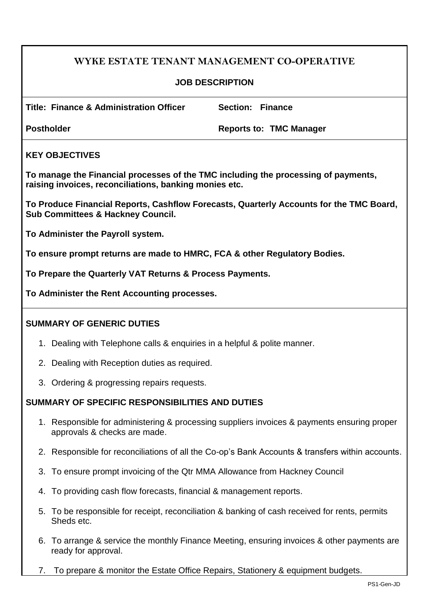# **WYKE ESTATE TENANT MANAGEMENT CO-OPERATIVE**

### **JOB DESCRIPTION**

**Title: Finance & Administration Officer Section: Finance**

**Postholder Reports to: TMC Manager**

### **KEY OBJECTIVES**

**To manage the Financial processes of the TMC including the processing of payments, raising invoices, reconciliations, banking monies etc.**

**To Produce Financial Reports, Cashflow Forecasts, Quarterly Accounts for the TMC Board, Sub Committees & Hackney Council.** 

**To Administer the Payroll system.**

**To ensure prompt returns are made to HMRC, FCA & other Regulatory Bodies.**

**To Prepare the Quarterly VAT Returns & Process Payments.**

**To Administer the Rent Accounting processes.**

## **SUMMARY OF GENERIC DUTIES**

- 1. Dealing with Telephone calls & enquiries in a helpful & polite manner.
- 2. Dealing with Reception duties as required.
- 3. Ordering & progressing repairs requests.

#### **SUMMARY OF SPECIFIC RESPONSIBILITIES AND DUTIES**

- 1. Responsible for administering & processing suppliers invoices & payments ensuring proper approvals & checks are made.
- 2. Responsible for reconciliations of all the Co-op's Bank Accounts & transfers within accounts.
- 3. To ensure prompt invoicing of the Qtr MMA Allowance from Hackney Council
- 4. To providing cash flow forecasts, financial & management reports.
- 5. To be responsible for receipt, reconciliation & banking of cash received for rents, permits Sheds etc.
- 6. To arrange & service the monthly Finance Meeting, ensuring invoices & other payments are ready for approval.
- 7. To prepare & monitor the Estate Office Repairs, Stationery & equipment budgets.